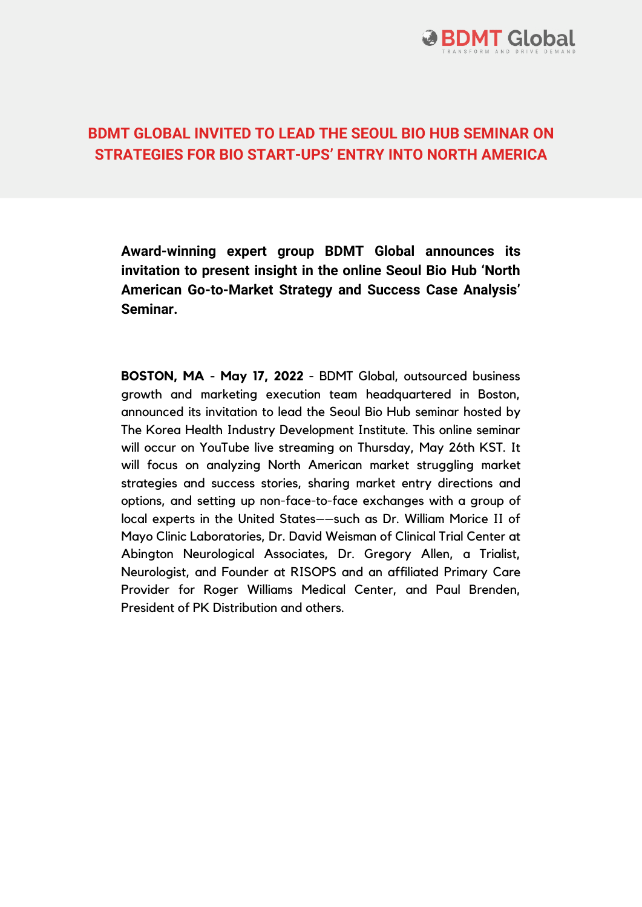

## **BDMT GLOBAL INVITED TO LEAD THE SEOUL BIO HUB SEMINAR ON STRATEGIES FOR BIO START-UPS' ENTRY INTO NORTH AMERICA**

**Award-winning expert group BDMT Global announces its invitation to present insight in the online Seoul Bio Hub 'North American Go-to-Market Strategy and Success Case Analysis' Seminar.**

**BOSTON, MA - May 17, 2022** - BDMT Global, outsourced business growth and marketing execution team headquartered in Boston, announced its invitation to lead the Seoul Bio Hub seminar hosted by The Korea Health Industry Development Institute. This online seminar will occur on YouTube live streaming on Thursday, May 26th KST. It will focus on analyzing North American market struggling market strategies and success stories, sharing market entry directions and options, and setting up non-face-to-face exchanges with a group of local experts in the United States––such as Dr. William Morice II of Mayo Clinic Laboratories, Dr. David Weisman of Clinical Trial Center at Abington Neurological Associates, Dr. Gregory Allen, a Trialist, Neurologist, and Founder at RISOPS and an affiliated Primary Care Provider for Roger Williams Medical Center, and Paul Brenden, President of PK Distribution and others.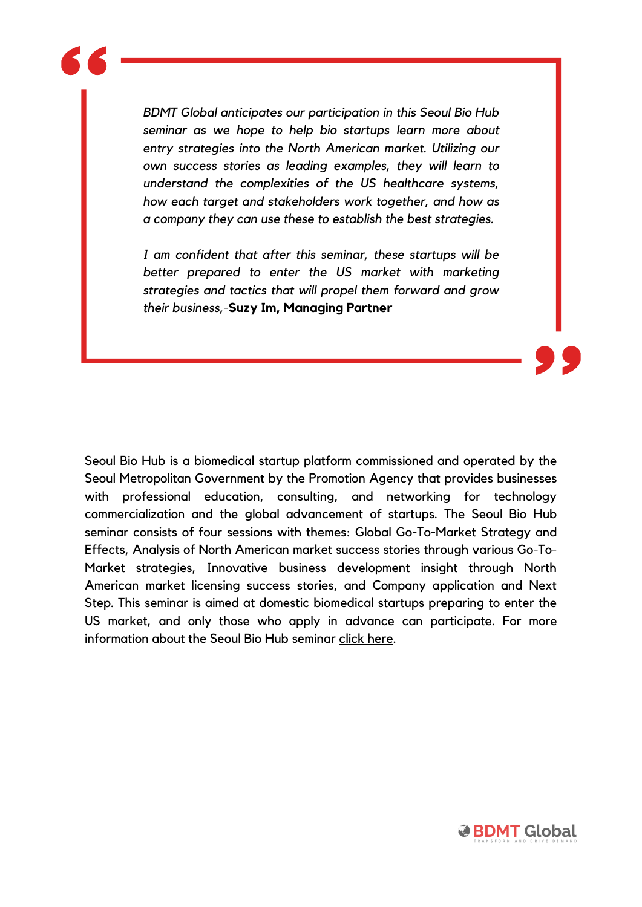*BDMT Global anticipates our participation in this Seoul Bio Hub seminar as we hope to help bio startups learn more about entry strategies into the North American market. Utilizing our own success stories as leading examples, they will learn to understand the complexities of the US healthcare systems, how each target and stakeholders work together, and how as a company they can use these to establish the best strategies.*

*I am confident that after this seminar, these startups will be better prepared to enter the US market with marketing strategies and tactics that will propel them forward and grow their business,*-**Suzy Im, Managing Partner**

Seoul Bio Hub is a biomedical startup platform commissioned and operated by the Seoul Metropolitan Government by the Promotion Agency that provides businesses with professional education, consulting, and networking for technology commercialization and the global advancement of startups. The Seoul Bio Hub seminar consists of four sessions with themes: Global Go-To-Market Strategy and Effects, Analysis of North American market success stories through various Go-To-Market strategies, Innovative business development insight through North American market licensing success stories, and Company application and Next Step. This seminar is aimed at domestic biomedical startups preparing to enter the US market, and only those who apply in advance can participate. For more information about the Seoul Bio Hub seminar click [here.](https://www.youtube.com/watch?v=3IaLXeduzww&t=2s)